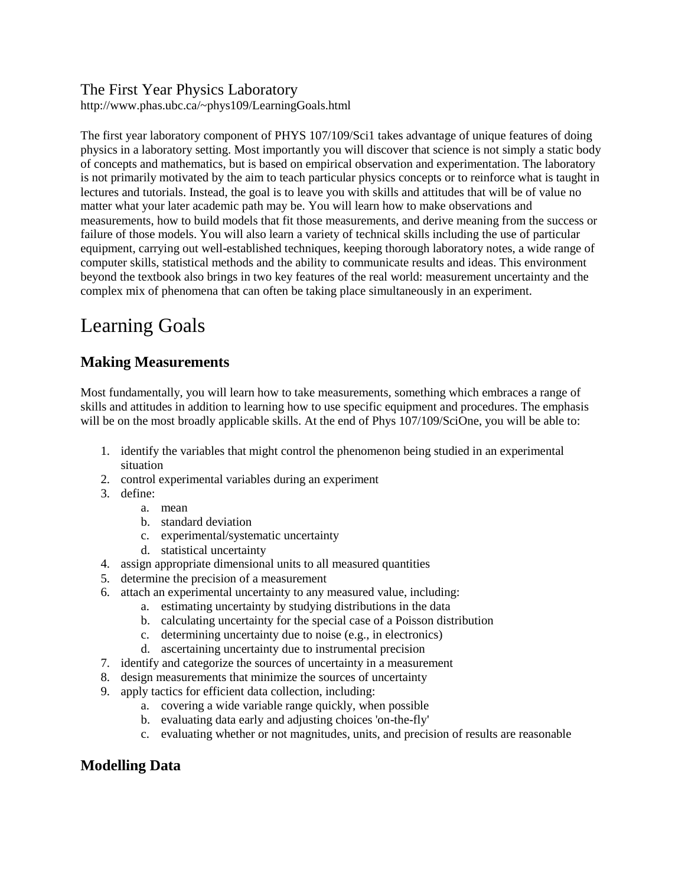#### The First Year Physics Laboratory

http://www.phas.ubc.ca/~phys109/LearningGoals.html

The first year laboratory component of PHYS 107/109/Sci1 takes advantage of unique features of doing physics in a laboratory setting. Most importantly you will discover that science is not simply a static body of concepts and mathematics, but is based on empirical observation and experimentation. The laboratory is not primarily motivated by the aim to teach particular physics concepts or to reinforce what is taught in lectures and tutorials. Instead, the goal is to leave you with skills and attitudes that will be of value no matter what your later academic path may be. You will learn how to make observations and measurements, how to build models that fit those measurements, and derive meaning from the success or failure of those models. You will also learn a variety of technical skills including the use of particular equipment, carrying out well-established techniques, keeping thorough laboratory notes, a wide range of computer skills, statistical methods and the ability to communicate results and ideas. This environment beyond the textbook also brings in two key features of the real world: measurement uncertainty and the complex mix of phenomena that can often be taking place simultaneously in an experiment.

# Learning Goals

## **Making Measurements**

Most fundamentally, you will learn how to take measurements, something which embraces a range of skills and attitudes in addition to learning how to use specific equipment and procedures. The emphasis will be on the most broadly applicable skills. At the end of Phys 107/109/SciOne, you will be able to:

- 1. identify the variables that might control the phenomenon being studied in an experimental situation
- 2. control experimental variables during an experiment
- 3. define:
	- a. mean
	- b. standard deviation
	- c. experimental/systematic uncertainty
	- d. statistical uncertainty
- 4. assign appropriate dimensional units to all measured quantities
- 5. determine the precision of a measurement
- 6. attach an experimental uncertainty to any measured value, including:
	- a. estimating uncertainty by studying distributions in the data
	- b. calculating uncertainty for the special case of a Poisson distribution
	- c. determining uncertainty due to noise (e.g., in electronics)
	- d. ascertaining uncertainty due to instrumental precision
- 7. identify and categorize the sources of uncertainty in a measurement
- 8. design measurements that minimize the sources of uncertainty
- 9. apply tactics for efficient data collection, including:
	- a. covering a wide variable range quickly, when possible
	- b. evaluating data early and adjusting choices 'on-the-fly'
	- c. evaluating whether or not magnitudes, units, and precision of results are reasonable

### **Modelling Data**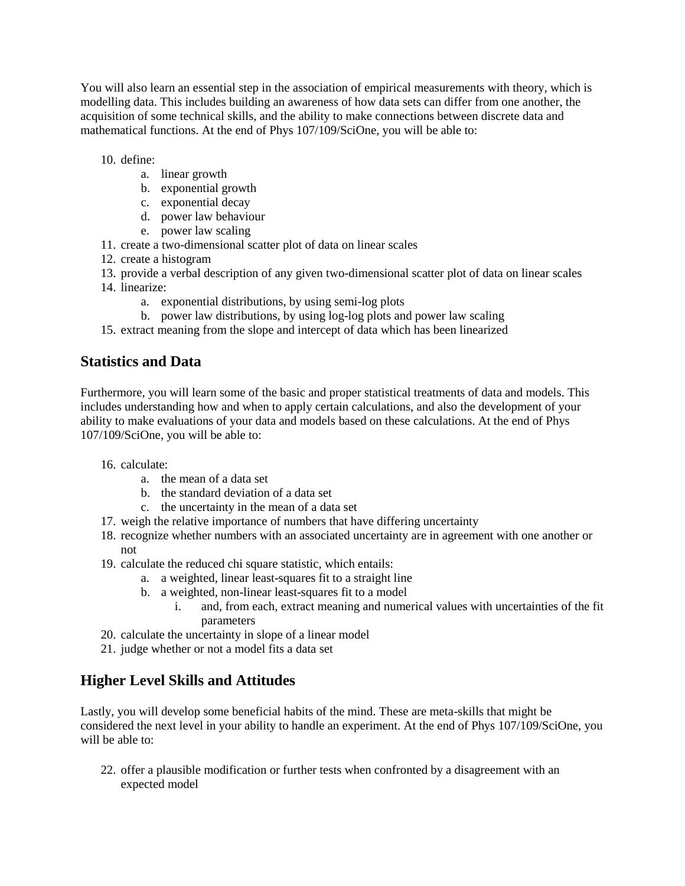You will also learn an essential step in the association of empirical measurements with theory, which is modelling data. This includes building an awareness of how data sets can differ from one another, the acquisition of some technical skills, and the ability to make connections between discrete data and mathematical functions. At the end of Phys 107/109/SciOne, you will be able to:

10. define:

- a. linear growth
- b. exponential growth
- c. exponential decay
- d. power law behaviour
- e. power law scaling
- 11. create a two-dimensional scatter plot of data on linear scales
- 12. create a histogram
- 13. provide a verbal description of any given two-dimensional scatter plot of data on linear scales
- 14. linearize:
	- a. exponential distributions, by using semi-log plots
	- b. power law distributions, by using log-log plots and power law scaling
- 15. extract meaning from the slope and intercept of data which has been linearized

### **Statistics and Data**

Furthermore, you will learn some of the basic and proper statistical treatments of data and models. This includes understanding how and when to apply certain calculations, and also the development of your ability to make evaluations of your data and models based on these calculations. At the end of Phys 107/109/SciOne, you will be able to:

- 16. calculate:
	- a. the mean of a data set
	- b. the standard deviation of a data set
	- c. the uncertainty in the mean of a data set
- 17. weigh the relative importance of numbers that have differing uncertainty
- 18. recognize whether numbers with an associated uncertainty are in agreement with one another or not
- 19. calculate the reduced chi square statistic, which entails:
	- a. a weighted, linear least-squares fit to a straight line
	- b. a weighted, non-linear least-squares fit to a model
		- i. and, from each, extract meaning and numerical values with uncertainties of the fit parameters
- 20. calculate the uncertainty in slope of a linear model
- 21. judge whether or not a model fits a data set

### **Higher Level Skills and Attitudes**

Lastly, you will develop some beneficial habits of the mind. These are meta-skills that might be considered the next level in your ability to handle an experiment. At the end of Phys 107/109/SciOne, you will be able to:

22. offer a plausible modification or further tests when confronted by a disagreement with an expected model